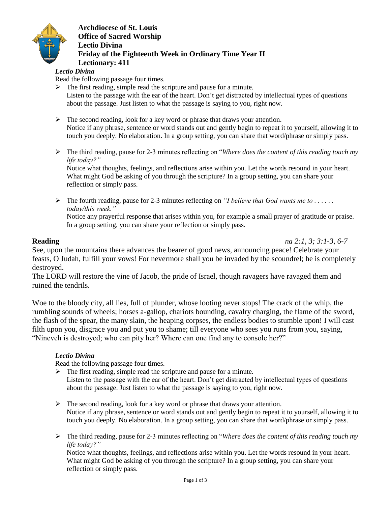

**Archdiocese of St. Louis Office of Sacred Worship Lectio Divina Friday of the Eighteenth Week in Ordinary Time Year II Lectionary: 411**

#### *Lectio Divina*

Read the following passage four times.

- $\triangleright$  The first reading, simple read the scripture and pause for a minute. Listen to the passage with the ear of the heart. Don't get distracted by intellectual types of questions about the passage. Just listen to what the passage is saying to you, right now.
- $\triangleright$  The second reading, look for a key word or phrase that draws your attention. Notice if any phrase, sentence or word stands out and gently begin to repeat it to yourself, allowing it to touch you deeply. No elaboration. In a group setting, you can share that word/phrase or simply pass.
- The third reading, pause for 2-3 minutes reflecting on "*Where does the content of this reading touch my life today?"*

Notice what thoughts, feelings, and reflections arise within you. Let the words resound in your heart. What might God be asking of you through the scripture? In a group setting, you can share your reflection or simply pass.

 The fourth reading, pause for 2-3 minutes reflecting on *"I believe that God wants me to . . . . . . today/this week."*

Notice any prayerful response that arises within you, for example a small prayer of gratitude or praise. In a group setting, you can share your reflection or simply pass.

**Reading** *na 2:1, 3; 3:1-3, 6-7*

See, upon the mountains there advances the bearer of good news, announcing peace! Celebrate your feasts, O Judah, fulfill your vows! For nevermore shall you be invaded by the scoundrel; he is completely destroyed.

The LORD will restore the vine of Jacob, the pride of Israel, though ravagers have ravaged them and ruined the tendrils.

Woe to the bloody city, all lies, full of plunder, whose looting never stops! The crack of the whip, the rumbling sounds of wheels; horses a-gallop, chariots bounding, cavalry charging, the flame of the sword, the flash of the spear, the many slain, the heaping corpses, the endless bodies to stumble upon! I will cast filth upon you, disgrace you and put you to shame; till everyone who sees you runs from you, saying, "Nineveh is destroyed; who can pity her? Where can one find any to console her?"

#### *Lectio Divina*

Read the following passage four times.

 $\triangleright$  The first reading, simple read the scripture and pause for a minute. Listen to the passage with the ear of the heart. Don't get distracted by intellectual types of questions

about the passage. Just listen to what the passage is saying to you, right now.

- $\triangleright$  The second reading, look for a key word or phrase that draws your attention. Notice if any phrase, sentence or word stands out and gently begin to repeat it to yourself, allowing it to touch you deeply. No elaboration. In a group setting, you can share that word/phrase or simply pass.
- The third reading, pause for 2-3 minutes reflecting on "*Where does the content of this reading touch my life today?"*

Notice what thoughts, feelings, and reflections arise within you. Let the words resound in your heart. What might God be asking of you through the scripture? In a group setting, you can share your reflection or simply pass.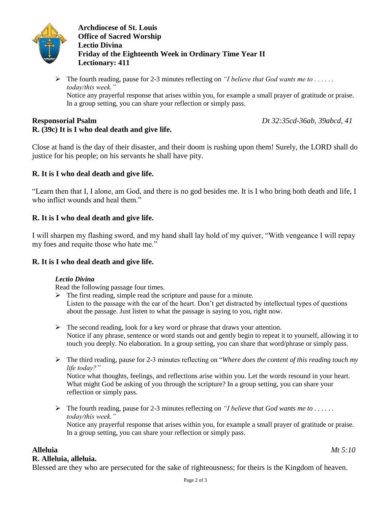

**Archdiocese of St. Louis Office of Sacred Worship Lectio Divina Friday of the Eighteenth Week in Ordinary Time Year II Lectionary: 411**

 $\triangleright$  The fourth reading, pause for 2-3 minutes reflecting on *"I believe that God wants me to ..... today/this week."* Notice any prayerful response that arises within you, for example a small prayer of gratitude or praise. In a group setting, you can share your reflection or simply pass.

**Responsorial Psalm** *Dt 32:35cd-36ab, 39abcd, 41*

# **R. (39c) It is I who deal death and give life.**

Close at hand is the day of their disaster, and their doom is rushing upon them! Surely, the LORD shall do justice for his people; on his servants he shall have pity.

# **R. It is I who deal death and give life.**

"Learn then that I, I alone, am God, and there is no god besides me. It is I who bring both death and life, I who inflict wounds and heal them."

# **R. It is I who deal death and give life.**

I will sharpen my flashing sword, and my hand shall lay hold of my quiver, "With vengeance I will repay my foes and requite those who hate me."

# **R. It is I who deal death and give life.**

#### *Lectio Divina*

Read the following passage four times.

- $\triangleright$  The first reading, simple read the scripture and pause for a minute. Listen to the passage with the ear of the heart. Don't get distracted by intellectual types of questions about the passage. Just listen to what the passage is saying to you, right now.
- $\triangleright$  The second reading, look for a key word or phrase that draws your attention. Notice if any phrase, sentence or word stands out and gently begin to repeat it to yourself, allowing it to touch you deeply. No elaboration. In a group setting, you can share that word/phrase or simply pass.
- The third reading, pause for 2-3 minutes reflecting on "*Where does the content of this reading touch my life today?"*

Notice what thoughts, feelings, and reflections arise within you. Let the words resound in your heart. What might God be asking of you through the scripture? In a group setting, you can share your reflection or simply pass.

 $\triangleright$  The fourth reading, pause for 2-3 minutes reflecting on *"I believe that God wants me to ..... today/this week."* Notice any prayerful response that arises within you, for example a small prayer of gratitude or praise. In a group setting, you can share your reflection or simply pass.

# **Alleluia** *Mt 5:10*

# **R. Alleluia, alleluia.**

Blessed are they who are persecuted for the sake of righteousness; for theirs is the Kingdom of heaven.